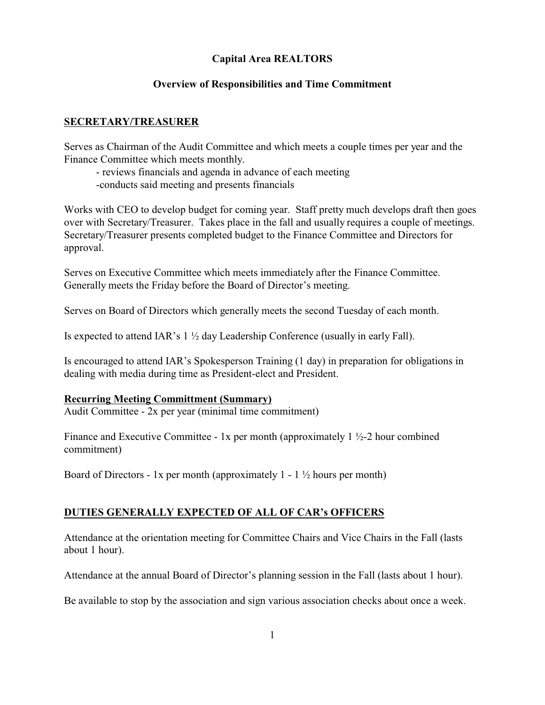# **Capital Area REALTORS**

### **Overview of Responsibilities and Time Commitment**

### **SECRETARY/TREASURER**

Serves as Chairman of the Audit Committee and which meets a couple times per year and the Finance Committee which meets monthly.

- reviews financials and agenda in advance of each meeting

-conducts said meeting and presents financials

Works with CEO to develop budget for coming year. Staff pretty much develops draft then goes over with Secretary/Treasurer. Takes place in the fall and usually requires a couple of meetings. Secretary/Treasurer presents completed budget to the Finance Committee and Directors for approval.

Serves on Executive Committee which meets immediately after the Finance Committee. Generally meets the Friday before the Board of Director's meeting.

Serves on Board of Directors which generally meets the second Tuesday of each month.

Is expected to attend IAR's  $1 \frac{1}{2}$  day Leadership Conference (usually in early Fall).

Is encouraged to attend IAR's Spokesperson Training (1 day) in preparation for obligations in dealing with media during time as President-elect and President.

#### **Recurring Meeting Committment (Summary)**

Audit Committee - 2x per year (minimal time commitment)

Finance and Executive Committee - 1x per month (approximately  $1\frac{1}{2}$ -2 hour combined commitment)

Board of Directors - 1x per month (approximately  $1 - 1 \frac{1}{2}$  hours per month)

## **DUTIES GENERALLY EXPECTED OF ALL OF CAR's OFFICERS**

Attendance at the orientation meeting for Committee Chairs and Vice Chairs in the Fall (lasts about 1 hour).

Attendance at the annual Board of Director's planning session in the Fall (lasts about 1 hour).

Be available to stop by the association and sign various association checks about once a week.